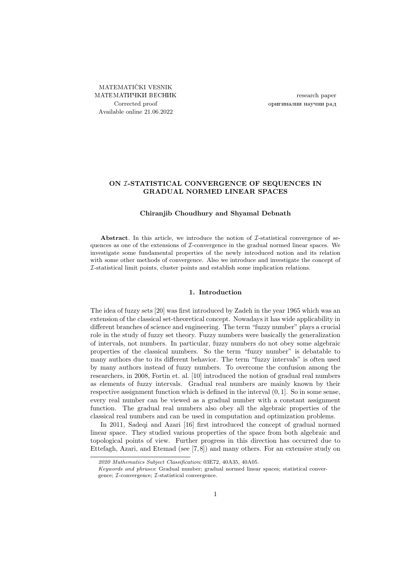MATEMATIČKI VESNIK МАТЕМАТИЧКИ ВЕСНИК Corrected proof Available online 21.06.2022

research paper оригинални научни рад

# ON I-STATISTICAL CONVERGENCE OF SEQUENCES IN GRADUAL NORMED LINEAR SPACES

## Chiranjib Choudhury and Shyamal Debnath

Abstract. In this article, we introduce the notion of  $\mathcal{I}\text{-statistical convergence of se-}$ quences as one of the extensions of I-convergence in the gradual normed linear spaces. We investigate some fundamental properties of the newly introduced notion and its relation with some other methods of convergence. Also we introduce and investigate the concept of I-statistical limit points, cluster points and establish some implication relations.

# 1. Introduction

The idea of fuzzy sets [\[20\]](#page-10-0) was first introduced by Zadeh in the year 1965 which was an extension of the classical set-theoretical concept. Nowadays it has wide applicability in different branches of science and engineering. The term "fuzzy number" plays a crucial role in the study of fuzzy set theory. Fuzzy numbers were basically the generalization of intervals, not numbers. In particular, fuzzy numbers do not obey some algebraic properties of the classical numbers. So the term "fuzzy number" is debatable to many authors due to its different behavior. The term "fuzzy intervals" is often used by many authors instead of fuzzy numbers. To overcome the confusion among the researchers, in 2008, Fortin et. al. [\[10\]](#page-10-1) introduced the notion of gradual real numbers as elements of fuzzy intervals. Gradual real numbers are mainly known by their respective assignment function which is defined in the interval  $(0, 1]$ . So in some sense, every real number can be viewed as a gradual number with a constant assignment function. The gradual real numbers also obey all the algebraic properties of the classical real numbers and can be used in computation and optimization problems.

In 2011, Sadeqi and Azari [\[16\]](#page-10-2) first introduced the concept of gradual normed linear space. They studied various properties of the space from both algebraic and topological points of view. Further progress in this direction has occurred due to Ettefagh, Azari, and Etemad (see [\[7,](#page-10-3) [8\]](#page-10-4)) and many others. For an extensive study on

<sup>2020</sup> Mathematics Subject Classification: 03E72, 40A35, 40A05.

Keywords and phrases: Gradual number; gradual normed linear spaces; statistical convergence; I-convergence; I-statistical convergence.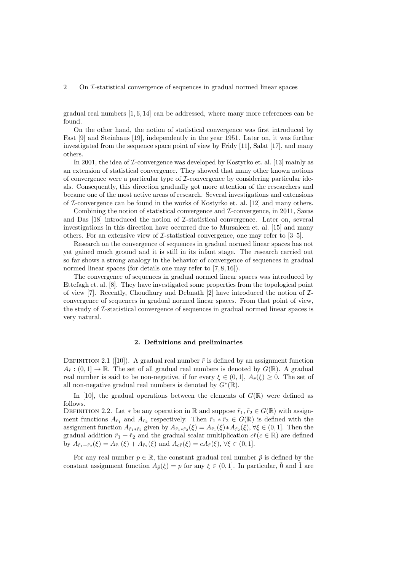2 On I-statistical convergence of sequences in gradual normed linear spaces

gradual real numbers  $[1, 6, 14]$  $[1, 6, 14]$  $[1, 6, 14]$  can be addressed, where many more references can be found.

On the other hand, the notion of statistical convergence was first introduced by Fast [\[9\]](#page-10-8) and Steinhaus [\[19\]](#page-10-9), independently in the year 1951. Later on, it was further investigated from the sequence space point of view by Fridy [\[11\]](#page-10-10), Salat [\[17\]](#page-10-11), and many others.

In 2001, the idea of  $\mathcal I$ -convergence was developed by Kostyrko et. al. [\[13\]](#page-10-12) mainly as an extension of statistical convergence. They showed that many other known notions of convergence were a particular type of  $\mathcal{I}$ -convergence by considering particular ideals. Consequently, this direction gradually got more attention of the researchers and became one of the most active areas of research. Several investigations and extensions of  $\mathcal I$ -convergence can be found in the works of Kostyrko et. al. [\[12\]](#page-10-13) and many others.

Combining the notion of statistical convergence and I-convergence, in 2011, Savas and Das [\[18\]](#page-10-14) introduced the notion of I-statistical convergence. Later on, several investigations in this direction have occurred due to Mursaleen et. al. [\[15\]](#page-10-15) and many others. For an extensive view of  $\mathcal{I}\text{-statistical convergence}$ , one may refer to [\[3–](#page-10-16)[5\]](#page-10-17).

Research on the convergence of sequences in gradual normed linear spaces has not yet gained much ground and it is still in its infant stage. The research carried out so far shows a strong analogy in the behavior of convergence of sequences in gradual normed linear spaces (for details one may refer to [\[7,](#page-10-3) [8,](#page-10-4) [16\]](#page-10-2)).

The convergence of sequences in gradual normed linear spaces was introduced by Ettefagh et. al. [\[8\]](#page-10-4). They have investigated some properties from the topological point of view [\[7\]](#page-10-3). Recently, Choudhury and Debnath [\[2\]](#page-10-18) have introduced the notion of  $\mathcal{I}$ convergence of sequences in gradual normed linear spaces. From that point of view, the study of I-statistical convergence of sequences in gradual normed linear spaces is very natural.

#### 2. Definitions and preliminaries

DEFINITION2.1 ([\[10\]](#page-10-1)). A gradual real number  $\tilde{r}$  is defined by an assignment function  $A_{\tilde{r}}$ :  $(0,1] \to \mathbb{R}$ . The set of all gradual real numbers is denoted by  $G(\mathbb{R})$ . A gradual real number is said to be non-negative, if for every  $\xi \in (0,1], A_{\tilde{r}}(\xi) \geq 0$ . The set of all non-negative gradual real numbers is denoted by  $G^*(\mathbb{R})$ .

In [\[10\]](#page-10-1), the gradual operations between the elements of  $G(\mathbb{R})$  were defined as follows.

DEFINITION 2.2. Let  $*$  be any operation in R and suppose  $\tilde{r}_1, \tilde{r}_2 \in G(\mathbb{R})$  with assignment functions  $A_{\tilde{r}_1}$  and  $A_{\tilde{r}_2}$  respectively. Then  $\tilde{r}_1 * \tilde{r}_2 \in G(\mathbb{R})$  is defined with the assignment function  $A_{\tilde{r}_1 * \tilde{r}_2}$  given by  $A_{\tilde{r}_1 * \tilde{r}_2}(\xi) = A_{\tilde{r}_1}(\xi) * A_{\tilde{r}_2}(\xi)$ ,  $\forall \xi \in (0, 1]$ . Then the gradual addition  $\tilde{r}_1 + \tilde{r}_2$  and the gradual scalar multiplication  $c\tilde{r}$  ( $c \in \mathbb{R}$ ) are defined by  $A_{\tilde{r}_1+\tilde{r}_2}(\xi) = A_{\tilde{r}_1}(\xi) + A_{\tilde{r}_2}(\xi)$  and  $A_{c\tilde{r}}(\xi) = cA_{\tilde{r}}(\xi)$ ,  $\forall \xi \in (0,1]$ .

For any real number  $p \in \mathbb{R}$ , the constant gradual real number  $\tilde{p}$  is defined by the constant assignment function  $A_{\tilde{p}}(\xi) = p$  for any  $\xi \in (0,1]$ . In particular,  $\tilde{0}$  and  $\tilde{1}$  are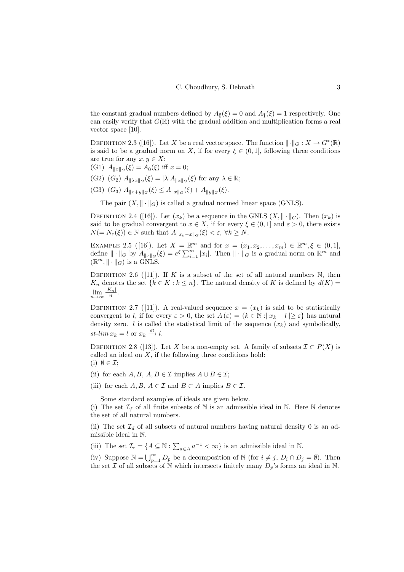the constant gradual numbers defined by  $A_{\tilde{0}}(\xi) = 0$  and  $A_{\tilde{1}}(\xi) = 1$  respectively. One can easily verify that  $G(\mathbb{R})$  with the gradual addition and multiplication forms a real vector space [\[10\]](#page-10-1).

DEFINITION2.3 ([\[16\]](#page-10-2)). Let X be a real vector space. The function  $\lVert \cdot \rVert_G : X \to G^*(\mathbb{R})$ is said to be a gradual norm on X, if for every  $\xi \in (0,1]$ , following three conditions are true for any  $x, y \in X$ :

- (G1)  $A_{\|x\|_G}(\xi) = A_{\tilde{0}}(\xi)$  iff  $x = 0$ ;
- (G2)  $(G_2)$   $A_{\|\lambda x\|_G}(\xi) = |\lambda| A_{\|x\|_G}(\xi)$  for any  $\lambda \in \mathbb{R}$ ;
- (G3)  $(G_3)$   $A_{\|x+y\|_G}(\xi) \leq A_{\|x\|_G}(\xi) + A_{\|y\|_G}(\xi).$

The pair  $(X, \|\cdot\|_G)$  is called a gradual normed linear space (GNLS).

DEFINITION2.4 ([\[16\]](#page-10-2)). Let  $(x_k)$  be a sequence in the GNLS  $(X, \|\cdot\|_G)$ . Then  $(x_k)$  is said to be gradual convergent to  $x \in X$ , if for every  $\xi \in (0,1]$  and  $\varepsilon > 0$ , there exists  $N(=N_{\varepsilon}(\xi)) \in \mathbb{N}$  such that  $A_{\|x_k-x\|_G}(\xi) < \varepsilon, \forall k \ge N$ .

<span id="page-2-0"></span>EXAMPLE 2.5 ([\[16\]](#page-10-2)). Let  $X = \mathbb{R}^m$  and for  $x = (x_1, x_2, ..., x_m) \in \mathbb{R}^m, \xi \in (0, 1],$ define  $\|\cdot\|_G$  by  $A_{\|x\|_G}(\xi) = e^{\xi} \sum_{i=1}^m |x_i|$ . Then  $\|\cdot\|_G$  is a gradual norm on  $\mathbb{R}^m$  and  $(\mathbb{R}^m, \|\cdot\|_G)$  is a GNLS.

DEFINITION 2.6 ([\[11\]](#page-10-10)). If K is a subset of the set of all natural numbers N, then  $K_n$  denotes the set  $\{k \in K : k \leq n\}$ . The natural density of K is defined by  $d(K)$  $\lim_{n\to\infty}\frac{|K_n|}{n}.$ 

DEFINITION 2.7 ([\[11\]](#page-10-10)). A real-valued sequence  $x = (x_k)$  is said to be statistically convergent to l, if for every  $\varepsilon > 0$ , the set  $A(\varepsilon) = \{k \in \mathbb{N} : |x_k - l| \geq \varepsilon\}$  has natural density zero. *l* is called the statistical limit of the sequence  $(x_k)$  and symbolically, st-lim  $x_k = l$  or  $x_k \stackrel{st}{\longrightarrow} l$ .

DEFINITION2.8 ([\[13\]](#page-10-12)). Let X be a non-empty set. A family of subsets  $\mathcal{I} \subset P(X)$  is called an ideal on  $X$ , if the following three conditions hold: (i)  $\emptyset \in \mathcal{I}$ ;

- (ii) for each  $A, B, A, B \in \mathcal{I}$  implies  $A \cup B \in \mathcal{I}$ ;
- (iii) for each  $A, B, A \in \mathcal{I}$  and  $B \subset A$  implies  $B \in \mathcal{I}$ .

Some standard examples of ideals are given below.

(i) The set  $\mathcal{I}_f$  of all finite subsets of N is an admissible ideal in N. Here N denotes the set of all natural numbers.

(ii) The set  $\mathcal{I}_d$  of all subsets of natural numbers having natural density 0 is an admissible ideal in N.

(iii) The set  $\mathcal{I}_c = \{ A \subseteq \mathbb{N} : \sum_{a \in A} a^{-1} < \infty \}$  is an admissible ideal in  $\mathbb{N}$ .

(iv) Suppose  $\mathbb{N} = \bigcup_{p=1}^{\infty} D_p$  be a decomposition of  $\mathbb{N}$  (for  $i \neq j$ ,  $D_i \cap D_j = \emptyset$ ). Then the set  $\mathcal I$  of all subsets of  $\mathbb N$  which intersects finitely many  $D_p$ 's forms an ideal in  $\mathbb N$ .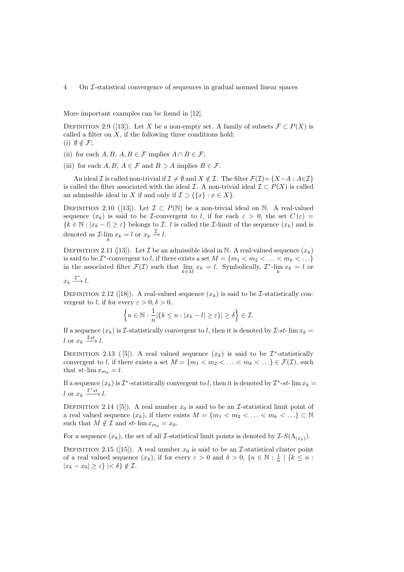More important examples can be found in [\[12\]](#page-10-13).

DEFINITION2.9 ([\[13\]](#page-10-12)). Let X be a non-empty set. A family of subsets  $\mathcal{F} \subset P(X)$  is called a filter on  $X$ , if the following three conditions hold: (i)  $\emptyset \notin \mathcal{F};$ 

- (ii) for each  $A, B, A, B \in \mathcal{F}$  implies  $A \cap B \in \mathcal{F}$ ;
- (iii) for each  $A, B, A \in \mathcal{F}$  and  $B \supset A$  implies  $B \in \mathcal{F}$ .

An ideal I is called non-trivial if  $\mathcal{I} \neq \emptyset$  and  $X \notin \mathcal{I}$ . The filter  $\mathcal{F}(\mathcal{I}) = \{X-A : A \in \mathcal{I}\}\$ is called the filter associated with the ideal  $\mathcal{I}$ . A non-trivial ideal  $\mathcal{I} \subset P(X)$  is called an admissible ideal in X if and only if  $\mathcal{I} \supset \{ \{x\} : x \in X \}.$ 

DEFINITION 2.10 ([\[13\]](#page-10-12)). Let  $\mathcal{I} \subset P(\mathbb{N})$  be a non-trivial ideal on  $\mathbb{N}$ . A real-valued sequence  $(x_k)$  is said to be *I*-convergent to l, if for each  $\varepsilon > 0$ , the set  $C(\varepsilon) =$  ${k \in \mathbb{N} : |x_k - l| \geq \varepsilon}$  belongs to *I*. *l* is called the *I*-limit of the sequence  $(x_k)$  and is denoted as  $\mathcal{I}$ -lim  $x_k = l$  or  $x_k \xrightarrow{\mathcal{I}} l$ .

DEFINITION2.11 ([\[13\]](#page-10-12)). Let  $\mathcal I$  be an admissible ideal in N. A real-valued sequence  $(x_k)$ is said to be  $\mathcal{I}^*$ -convergent to l, if there exists a set  $M = \{m_1 < m_2 < \ldots < m_k < \ldots\}$ in the associated filter  $\mathcal{F}(\mathcal{I})$  such that  $\lim_{k \in M} x_k = l$ . Symbolically,  $\mathcal{I}^*$ - $\lim_{k} x_k = l$  or

$$
x_k \xrightarrow{\mathcal{I}^*} l.
$$

DEFINITION2.12 ([\[18\]](#page-10-14)). A real-valued sequence  $(x_k)$  is said to be *I*-statistically convergent to l, if for every  $\varepsilon > 0, \delta > 0$ ,

$$
\left\{n \in \mathbb{N} : \frac{1}{n} |\{k \le n : |x_k - l| \ge \varepsilon\}| \ge \delta \right\} \in \mathcal{I}.
$$

If a sequence  $(x_k)$  is *I*-statistically convergent to l, then it is denoted by *I*-st- lim  $x_k =$ l or  $x_k \xrightarrow{\mathcal{I}st} l$ .

DEFINITION 2.13 ([5]). A real valued sequence  $(x_k)$  is said to be  $\mathcal{I}^*$ -statistically convergent to l, if there exists a set  $M = \{m_1 < m_2 < \ldots < m_k < \ldots \} \in \mathcal{F}(\mathcal{I})$ , such that st- $\lim x_{m_k} = l$ .

If a sequence  $(x_k)$  is  $\mathcal{I}^*$ -statistically convergent to l, then it is denoted by  $\mathcal{I}^*$ -st- $\lim x_k =$ l or  $x_k \xrightarrow{\mathcal{I}^*st} l$ .

DEFINITION2.14 ([\[5\]](#page-10-17)). A real number  $x_0$  is said to be an *I*-statistical limit point of a real valued sequence  $(x_k)$ , if there exists  $M = \{m_1 < m_2 < \ldots < m_k < \ldots\} \subset \mathbb{N}$ such that  $M \notin \mathcal{I}$  and  $st$ -  $\lim x_{m_k} = x_0$ .

For a sequence  $(x_k)$ , the set of all *I*-statistical limit points is denoted by  $I-S(\Lambda_{(x_k)})$ .

DEFINITION2.15 ([\[15\]](#page-10-15)). A real number  $x_0$  is said to be an *I*-statistical cluster point of a real valued sequence  $(x_k)$ , if for every  $\varepsilon > 0$  and  $\delta > 0$ ,  $\{n \in \mathbb{N} : \frac{1}{n} \mid \{k \leq n :$  $|x_k - x_0| \geq \varepsilon$  | <  $\delta$  }  $\notin \mathcal{I}$ .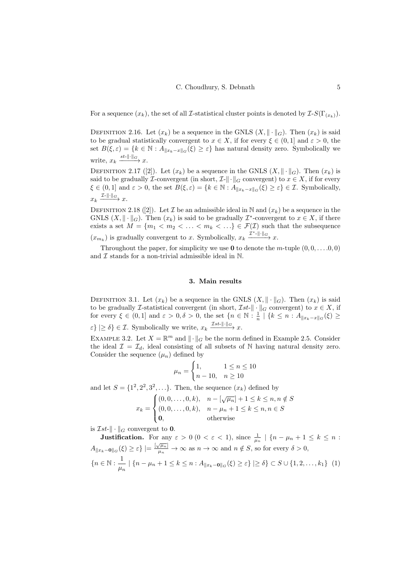For a sequence  $(x_k)$ , the set of all *I*-statistical cluster points is denoted by  $\mathcal{I}\text{-}S(\Gamma_{(x_k)})$ .

DEFINITION 2.16. Let  $(x_k)$  be a sequence in the GNLS  $(X, \|\cdot\|_G)$ . Then  $(x_k)$  is said to be gradual statistically convergent to  $x \in X$ , if for every  $\xi \in (0,1]$  and  $\varepsilon > 0$ , the set  $B(\xi, \varepsilon) = \{k \in \mathbb{N} : A_{\|x_k - x\|_G}(\xi) \geq \varepsilon\}$  has natural density zero. Symbolically we write,  $x_k \xrightarrow{st-\|\cdot\|_G} x$ .

DEFINITION2.17 ([\[2\]](#page-10-18)). Let  $(x_k)$  be a sequence in the GNLS  $(X, \|\cdot\|_G)$ . Then  $(x_k)$  is said to be gradually *I*-convergent (in short,  $\mathcal{I}\llcorner\|\cdot\|_G$  convergent) to  $x \in X$ , if for every  $\xi \in (0,1]$  and  $\varepsilon > 0$ , the set  $B(\xi, \varepsilon) = \{k \in \mathbb{N} : A_{\|x_k - x\|_G}(\xi) \ge \varepsilon\} \in \mathcal{I}$ . Symbolically,  $x_k \xrightarrow{\mathcal{I}-\|\cdot\|_G} x.$ 

DEFINITION2.18 ([\[2\]](#page-10-18)). Let  $\mathcal I$  be an admissible ideal in N and  $(x_k)$  be a sequence in the GNLS  $(X, \|\cdot\|_G)$ . Then  $(x_k)$  is said to be gradually  $\mathcal{I}^*$ -convergent to  $x \in X$ , if there exists a set  $M = \{m_1 < m_2 < \ldots < m_k < \ldots\} \in \mathcal{F}(\mathcal{I})$  such that the subsequence  $(x_{m_k})$  is gradually convergent to x. Symbolically,  $x_k \xrightarrow{\mathcal{I}^*-\|\cdot\|_{G}} x$ .

Throughout the paper, for simplicity we use **0** to denote the m-tuple  $(0, 0, \ldots, 0, 0)$ and  $\mathcal I$  stands for a non-trivial admissible ideal in N.

### 3. Main results

DEFINITION 3.1. Let  $(x_k)$  be a sequence in the GNLS  $(X, \|\cdot\|_G)$ . Then  $(x_k)$  is said to be gradually *I*-statistical convergent (in short,  $\mathcal{I}st$ - $\|\cdot\|_G$  convergent) to  $x \in X$ , if for every  $\xi \in (0,1]$  and  $\varepsilon > 0, \delta > 0$ , the set  $\{n \in \mathbb{N} : \frac{1}{n} \mid \{k \leq n : A_{\|x_k - x\|_G}(\xi) \geq 0\}$  $\varepsilon\}\geq \delta\}\in \mathcal{I}$ . Symbolically we write,  $x_k \xrightarrow{\mathcal{I}st-\|\cdot\|_{G}} x$ .

<span id="page-4-1"></span>EXAMPLE 3.2. Let  $X = \mathbb{R}^m$  and  $\|\cdot\|_G$  be the norm defined in Example [2.5.](#page-2-0) Consider the ideal  $\mathcal{I} = \mathcal{I}_d$ , ideal consisting of all subsets of N having natural density zero. Consider the sequence  $(\mu_n)$  defined by

<span id="page-4-0"></span>
$$
\mu_n = \begin{cases} 1, & 1 \le n \le 10 \\ n - 10, & n \ge 10 \end{cases}
$$

and let  $S = \{1^2, 2^2, 3^2, \ldots\}$ . Then, the sequence  $(x_k)$  defined by

$$
x_k = \begin{cases} (0, 0, \dots, 0, k), & n - [\sqrt{\mu_n}] + 1 \le k \le n, n \notin S \\ (0, 0, \dots, 0, k), & n - \mu_n + 1 \le k \le n, n \in S \\ \mathbf{0}, & \text{otherwise} \end{cases}
$$

is  $\mathcal{I}st$ - $\|\cdot\|_G$  convergent to **0**.

**Justification.** For any  $\varepsilon > 0$   $(0 < \varepsilon < 1)$ , since  $\frac{1}{\mu_n} | \{n - \mu_n + 1 \leq k \leq n$ :  $A_{\|x_k-\mathbf{0}\|G}(\xi) \geq \varepsilon$  |  $=$   $\frac{\lfloor \sqrt{\mu_n} \rfloor}{\mu_n} \to \infty$  as  $n \to \infty$  and  $n \notin S$ , so for every  $\delta > 0$ ,  ${n \in \mathbb{N} : \frac{1}{n}}$  $\frac{1}{\mu_n} | \{ n - \mu_n + 1 \leq k \leq n : A_{\|x_k - \mathbf{0}\|G}(\xi) \geq \varepsilon \} | \geq \delta \} \subset S \cup \{ 1, 2, \ldots, k_1 \}$  (1)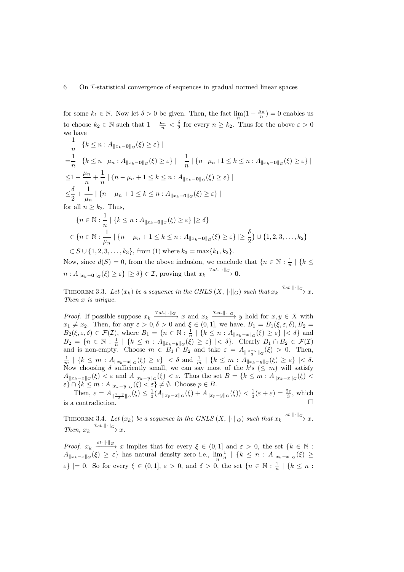for some  $k_1 \in \mathbb{N}$ . Now let  $\delta > 0$  be given. Then, the fact  $\lim_{n} (1 - \frac{\mu_n}{n}) = 0$  enables us to choose  $k_2 \in \mathbb{N}$  such that  $1 - \frac{\mu_n}{n} < \frac{\delta}{2}$  for every  $n \geq k_2$ . Thus for the above  $\varepsilon > 0$ we have

$$
\frac{1}{n} | \{ k \le n : A_{\|x_k - \mathbf{0}\|G}(\xi) \ge \varepsilon \} |
$$
\n
$$
= \frac{1}{n} | \{ k \le n - \mu_n : A_{\|x_k - \mathbf{0}\|G}(\xi) \ge \varepsilon \} | + \frac{1}{n} | \{ n - \mu_n + 1 \le k \le n : A_{\|x_k - \mathbf{0}\|G}(\xi) \ge \varepsilon \} |
$$
\n
$$
\le 1 - \frac{\mu_n}{n} + \frac{1}{n} | \{ n - \mu_n + 1 \le k \le n : A_{\|x_k - \mathbf{0}\|G}(\xi) \ge \varepsilon \} |
$$
\n
$$
\le \frac{\delta}{2} + \frac{1}{\mu_n} | \{ n - \mu_n + 1 \le k \le n : A_{\|x_k - \mathbf{0}\|G}(\xi) \ge \varepsilon \} |
$$
\nfor all  $n \ge k_2$ . Thus,\n
$$
\{ n \in \mathbb{N} : \frac{1}{n} | \{ k \le n : A_{\|x_k - \mathbf{0}\|G}(\xi) \ge \varepsilon \} | \ge \delta \}
$$

$$
\subset \{n \in \mathbb{N} : \frac{1}{\mu_n} \mid \{n - \mu_n + 1 \le k \le n : A_{\|x_k - \mathbf{0}\|G}(\xi) \ge \varepsilon\} \mid \ge \frac{\delta}{2}\} \cup \{1, 2, 3, \dots, k_2\}
$$
  

$$
\subset S \cup \{1, 2, 3, \dots, k_3\}, \text{ from (1) where } k_3 = \max\{k_1, k_2\}.
$$

Now, since  $d(S) = 0$ , from the above inclusion, we conclude that  $\{n \in \mathbb{N} : \frac{1}{n} \mid \{k \leq n \}$  $n: A_{\|x_k-\mathbf{0}\|G}(\xi) \geq \varepsilon\}\n\geq \delta$   $\in \mathcal{I}$ , proving that  $x_k \xrightarrow{\mathcal{I}st-\|\cdot\|G} \mathbf{0}.$ 

THEOREM 3.3. Let  $(x_k)$  be a sequence in the GNLS  $(X, \|\cdot\|_G)$  such that  $x_k \xrightarrow{\text{Tst-}\|\cdot\|_G} x$ . Then x is unique.

*Proof.* If possible suppose  $x_k \xrightarrow{\mathcal{I}st-\|\cdot\|_G} x$  and  $x_k \xrightarrow{\mathcal{I}st-\|\cdot\|_G} y$  hold for  $x, y \in X$  with  $x_1 \neq x_2$ . Then, for any  $\varepsilon > 0, \delta > 0$  and  $\xi \in (0, 1]$ , we have,  $B_1 = B_1(\xi, \varepsilon, \delta), B_2 =$  $B_2(\xi, \varepsilon, \delta) \in \mathcal{F}(\mathcal{I})$ , where  $B_1 = \{n \in \mathbb{N} : \frac{1}{n} \mid \{k \leq n : A_{\|x_k - x\|_G}(\xi) \geq \varepsilon\} \mid < \delta \}$  and  $B_2 = \{n \in \mathbb{N} : \frac{1}{n} \mid \{k \leq n : A_{\|x_k-y\|_G}(\xi) \geq \varepsilon\} \mid < \delta\}.$  Clearly  $B_1 \cap B_2 \in \mathcal{F}(\mathcal{I})$ and is non-empty. Choose  $m \in B_1 \cap B_2$  and take  $\varepsilon = A_{\frac{m}{3} \cdot \frac{m}{3} \cdot \|G}(\xi) > 0$ . Then,  $\frac{1}{m} \mid \{k \leq m : A_{\|x_k - x\|_G}(\xi) \geq \varepsilon\} \mid < \delta \text{ and } \frac{1}{m} \mid \{k \leq m : A_{\|x_k - y\|_G}(\xi) \geq \varepsilon\} \mid < \delta.$ Now choosing  $\delta$  sufficiently small, we can say most of the  $k's \leq m$  will satisfy  $A_{\|x_k-x\|_G}(\xi) < \varepsilon$  and  $A_{\|x_k-y\|_G}(\xi) < \varepsilon$ . Thus the set  $B = \{k \leq m : A_{\|x_k-x\|_G}(\xi) < \varepsilon\}$  $\varepsilon$ }  $\cap$  { $k \leq m$  :  $A_{\|x_k-y\|_G}(\xi) < \varepsilon$ }  $\neq \emptyset$ . Choose  $p \in B$ .

Then,  $\varepsilon = A_{\|\frac{x-y}{3}\|_G}(\xi) \le \frac{1}{3}(A_{\|x_p-x\|_G}(\xi) + A_{\|x_p-y\|_G}(\xi)) < \frac{1}{3}(\varepsilon + \varepsilon) = \frac{2\varepsilon}{3}$ , which is a contradiction.  $\Box$ 

THEOREM 3.4. Let  $(x_k)$  be a sequence in the GNLS  $(X, \|\cdot\|_G)$  such that  $x_k \xrightarrow{st-\|\cdot\|_G} x$ . Then,  $x_k \xrightarrow{\mathcal{I}st-\|\cdot\|_G} x$ .

*Proof.*  $x_k \xrightarrow{s t-||\cdot||_G} x$  implies that for every  $\xi \in (0,1]$  and  $\varepsilon > 0$ , the set  $\{k \in \mathbb{N} :$  $A_{\|x_k-x\|_G}(\xi) \geq \varepsilon$  has natural density zero i.e.,  $\lim_{n} \frac{1}{n} | \{k \leq n : A_{\|x_k-x\|_G}(\xi) \geq \varepsilon\}$  $\varepsilon\}$  |= 0. So for every  $\xi \in (0,1], \varepsilon > 0$ , and  $\delta > 0$ , the set  $\{n \in \mathbb{N} : \frac{1}{n} \mid \{k \leq n : \frac{1}{n} \mid k \leq n\}$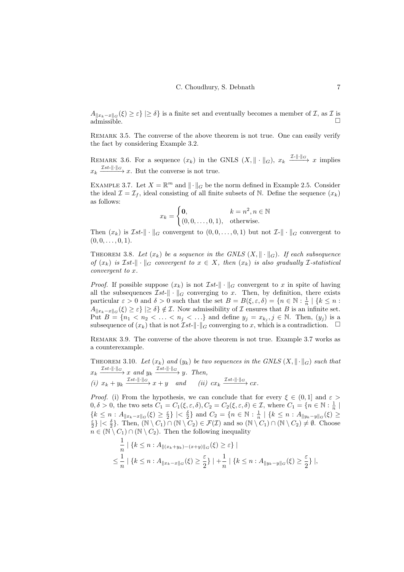$A_{\|x_k-x\|_G}(\xi) \geq \varepsilon$  |  $\geq \delta$  is a finite set and eventually becomes a member of  $\mathcal{I}$ , as  $\mathcal{I}$  is  $\lim_{n \to \infty} \frac{f(x, y) - f(x, y)}{g(x, y) - g(x, y)}$ 

REMARK 3.5. The converse of the above theorem is not true. One can easily verify the fact by considering Example [3.2.](#page-4-1)

<span id="page-6-3"></span>REMARK 3.6. For a sequence  $(x_k)$  in the GNLS  $(X, \|\cdot\|_G)$ ,  $x_k \xrightarrow{\mathcal{I} - \|\cdot\|_G} x$  implies  $x_k \xrightarrow{\mathcal{I}st-\|\cdot\|_G} x$ . But the converse is not true.

<span id="page-6-0"></span>EXAMPLE 3.7. Let  $X = \mathbb{R}^m$  and  $\|\cdot\|_G$  be the norm defined in Example [2.5.](#page-2-0) Consider the ideal  $\mathcal{I} = \mathcal{I}_f$ , ideal consisting of all finite subsets of N. Define the sequence  $(x_k)$ as follows:

$$
x_k = \begin{cases} \n\mathbf{0}, & k = n^2, n \in \mathbb{N} \\ \n(0, 0, \dots, 0, 1), & \text{otherwise.} \n\end{cases}
$$

Then  $(x_k)$  is  $\mathcal{I}st-\|\cdot\|_G$  convergent to  $(0,0,\ldots,0,1)$  but not  $\mathcal{I}-\|\cdot\|_G$  convergent to  $(0, 0, \ldots, 0, 1).$ 

THEOREM 3.8. Let  $(x_k)$  be a sequence in the GNLS  $(X, \|\cdot\|_G)$ . If each subsequence of  $(x_k)$  is Ist- $\|\cdot\|_G$  convergent to  $x \in X$ , then  $(x_k)$  is also gradually I-statistical convergent to x.

*Proof.* If possible suppose  $(x_k)$  is not  $\mathcal{I}st-\|\cdot\|_G$  convergent to x in spite of having all the subsequences  $\mathcal{I}st-\|\cdot\|_G$  converging to x. Then, by definition, there exists particular  $\varepsilon > 0$  and  $\delta > 0$  such that the set  $B = B(\xi, \varepsilon, \delta) = \{n \in \mathbb{N} : \frac{1}{n} \mid \{k \le n : \frac{1}{n} \mid k \le n\}$  $A_{\|x_k-x\|_G}(\xi) \geq \varepsilon$   $\geq$   $\geq$   $\xi$   $\neq$   $\mathcal{I}$ . Now admissibility of  $\mathcal{I}$  ensures that  $B$  is an infinite set. Put  $B = \{n_1 < n_2 < \ldots < n_j < \ldots \}$  and define  $y_j = x_{k_j}, j \in \mathbb{N}$ . Then,  $(y_j)$  is a subsequence of  $(x_k)$  that is not  $\mathcal{I}st-\Vert \cdot \Vert_G$  converging to x, which is a contradiction.  $\Box$ 

Remark 3.9. The converse of the above theorem is not true. Example [3.7](#page-6-0) works as a counterexample.

<span id="page-6-1"></span>THEOREM 3.10. Let  $(x_k)$  and  $(y_k)$  be two sequences in the GNLS  $(X, \|\cdot\|_G)$  such that  $x_k \xrightarrow{\mathcal{I}st-\|\cdot\|_G} x$  and  $y_k \xrightarrow{\mathcal{I}st-\|\cdot\|_G} y$ . Then, (i)  $x_k + y_k \xrightarrow{\mathcal{I}st-\|\cdot\|_G} x + y$  and (ii)  $cx_k \xrightarrow{\mathcal{I}st-\|\cdot\|_G} cx$ .

*Proof.* [\(i\)](#page-6-1) From the hypothesis, we can conclude that for every  $\xi \in (0,1]$  and  $\varepsilon >$  $0, \delta > 0$ , the two sets  $C_1 = C_1(\xi, \varepsilon, \delta), C_2 = C_2(\xi, \varepsilon, \delta) \in \mathcal{I}$ , where  $C_1 = \{n \in \mathbb{N} : \frac{1}{n} \mid$  ${k \leq n : A_{\|x_k - x\|_G}(\xi) \geq \frac{\varepsilon}{2}} \leq \frac{\delta}{2}$  and  $C_2 = {n \in \mathbb{N} : \frac{1}{n} | \{k \leq n : A_{\|y_k - y\|_G}(\xi) \geq \frac{\delta}{2} \}}$  $\frac{\varepsilon}{2}$  | <  $\frac{\delta}{2}$  }. Then,  $(\mathbb{N} \setminus C_1) \cap (\mathbb{N} \setminus C_2) \in \mathcal{F}(\mathcal{I})$  and so  $(\mathbb{N} \setminus C_1) \cap (\mathbb{N} \setminus C_2) \neq \emptyset$ . Choose  $n \in (\mathbb{N} \setminus C_1) \cap (\mathbb{N} \setminus C_2)$ . Then the following inequality

<span id="page-6-2"></span>
$$
\frac{1}{n} | \{ k \le n : A_{\|(x_k + y_k) - (x + y)\|_G}(\xi) \ge \varepsilon \} |
$$
  

$$
\le \frac{1}{n} | \{ k \le n : A_{\|x_k - x\|_G}(\xi) \ge \frac{\varepsilon}{2} \} | + \frac{1}{n} | \{ k \le n : A_{\|y_k - y\|_G}(\xi) \ge \frac{\varepsilon}{2} \} |,
$$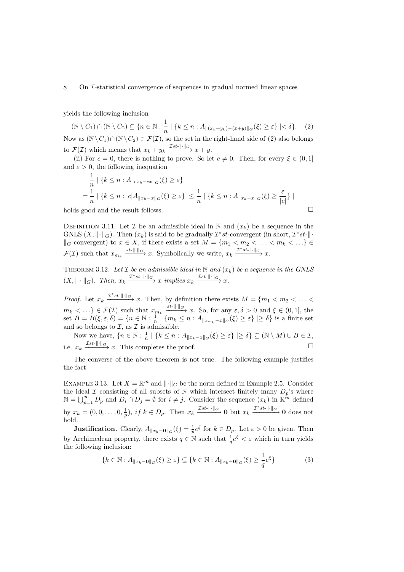### 8 On I-statistical convergence of sequences in gradual normed linear spaces

yields the following inclusion

 $(N \setminus C_1) \cap (N \setminus C_2) \subseteq \{n \in \mathbb{N} : \frac{1}{n}\}$  $\frac{1}{n} | \{ k \leq n : A_{\|(x_k+y_k)-(x+y)\|G}(\xi) \geq \varepsilon \} | < \delta \}.$  (2) Now as  $(\mathbb{N}\setminus C_1)\cap(\mathbb{N}\setminus C_2) \in \mathcal{F}(\mathcal{I})$ , so the set in the right-hand side of  $(2)$  also belongs to  $\mathcal{F}(\mathcal{I})$  which means that  $x_k + y_k \xrightarrow{\mathcal{I}st-\|\cdot\|_{G}} x + y$ .

[\(ii\)](#page-6-2) For  $c = 0$ , there is nothing to prove. So let  $c \neq 0$ . Then, for every  $\xi \in (0,1]$ and  $\varepsilon > 0$ , the following inequation

<span id="page-7-0"></span>
$$
\frac{1}{n} | \{ k \le n : A_{\|cx_k - cx\|_G}(\xi) \ge \varepsilon \} |
$$
  
= 
$$
\frac{1}{n} | \{ k \le n : |c|A_{\|x_k - x\|_G}(\xi) \ge \varepsilon \} | \le \frac{1}{n} | \{ k \le n : A_{\|x_k - x\|_G}(\xi) \ge \frac{\varepsilon}{|c|} \} |
$$

holds good and the result follows.  $\hfill \square$ 

DEFINITION 3.11. Let  $\mathcal I$  be an admissible ideal in N and  $(x_k)$  be a sequence in the GNLS  $(X, \|\cdot\|_G)$ . Then  $(x_k)$  is said to be gradually  $\mathcal{I}^*$ st-convergent (in short,  $\mathcal{I}^*$ st- $\|\cdot\|$  $\parallel_G$  convergent) to  $x \in X$ , if there exists a set  $M = \{m_1 < m_2 < \ldots < m_k < \ldots\}$  $\mathcal{F}(\mathcal{I})$  such that  $x_{m_k} \xrightarrow{st-\|\cdot\|_{G}} x$ . Symbolically we write,  $x_k \xrightarrow{\mathcal{I}^* st-\|\cdot\|_{G}} x$ .

THEOREM 3.12. Let  $\mathcal I$  be an admissible ideal in  $\mathbb N$  and  $(x_k)$  be a sequence in the GNLS  $(X, \|\cdot\|_{G})$ . Then,  $x_k \xrightarrow{T^*st-\|\cdot\|_{G}} x$  implies  $x_k \xrightarrow{Tst-\|\cdot\|_{G}} x$ .

*Proof.* Let  $x_k \xrightarrow{T^*st-\|\cdot\|_{G}} x$ . Then, by definition there exists  $M = \{m_1 < m_2 < \ldots < m_m\}$  $m_k < \ldots \} \in \mathcal{F}(\mathcal{I})$  such that  $x_{m_k} \xrightarrow{st-\|\cdot\|_{G}} x$ . So, for any  $\varepsilon, \delta > 0$  and  $\xi \in (0,1]$ , the set  $B = B(\xi, \varepsilon, \delta) = \{n \in \mathbb{N} : \frac{1}{n} \mid \{m_k \leq n : A_{\|x_{m_k} - x\|_G}(\xi) \geq \varepsilon\} \mid \geq \delta\}$  is a finite set and so belongs to  $\mathcal{I}$ , as  $\mathcal{I}$  is admissible.

Now we have,  $\{n \in \mathbb{N} : \frac{1}{n} \mid \{k \leq n : A_{\|x_k-x\|G}(\xi) \geq \varepsilon\} \mid \geq \delta\} \subseteq (\mathbb{N} \setminus M) \cup B \in \mathcal{I}$ , i.e.  $x_k \xrightarrow{\mathcal{I}st-\|\cdot\|_G} x$ . This completes the proof.  $\Box$ 

The converse of the above theorem is not true. The following example justifies the fact

EXAMPLE 3.13. Let  $X = \mathbb{R}^m$  and  $\|\cdot\|_G$  be the norm defined in Example [2.5.](#page-2-0) Consider the ideal  $\mathcal I$  consisting of all subsets of N which intersect finitely many  $D_p$ 's where  $\mathbb{N} = \bigcup_{p=1}^{\infty} D_p$  and  $D_i \cap D_j = \emptyset$  for  $i \neq j$ . Consider the sequence  $(x_k)$  in  $\mathbb{R}^m$  defined by  $x_k = (0, 0, \ldots, 0, \frac{1}{p}), \text{ if } k \in D_p.$  Then  $x_k \xrightarrow{\mathcal{I}_{st-||\cdot||_G}} \mathbf{0}$  but  $x_k \xrightarrow{\mathcal{I}_{st-||\cdot||_G}} \mathbf{0}$  does not hold.

**Justification.** Clearly,  $A_{\|x_k-\mathbf{0}\|_G}(\xi) = \frac{1}{p}e^{\xi}$  for  $k \in D_p$ . Let  $\varepsilon > 0$  be given. Then by Archimedean property, there exists  $q \in \mathbb{N}$  such that  $\frac{1}{q}e^{\xi} < \varepsilon$  which in turn yields the following inclusion:

<span id="page-7-1"></span>
$$
\{k \in \mathbb{N} : A_{\|x_k - \mathbf{0}\|G}(\xi) \ge \varepsilon\} \subseteq \{k \in \mathbb{N} : A_{\|x_k - \mathbf{0}\|G}(\xi) \ge \frac{1}{q}e^{\xi}\}\tag{3}
$$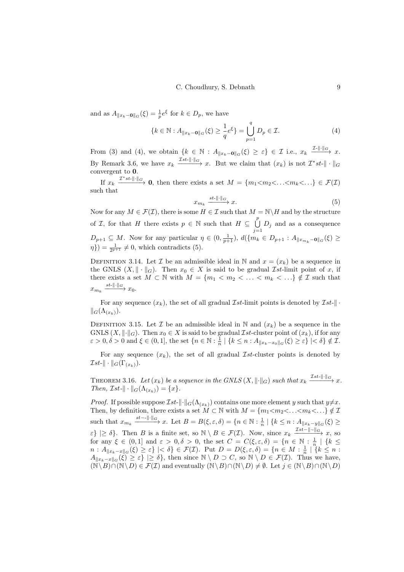and as  $A_{\|x_k-0\|_G}(\xi) = \frac{1}{p}e^{\xi}$  for  $k \in D_p$ , we have

$$
\{k \in \mathbb{N} : A_{\|x_k - \mathbf{0}\|G}(\xi) \ge \frac{1}{q} e^{\xi} \} = \bigcup_{p=1}^{q} D_p \in \mathcal{I}.
$$
 (4)

From [\(3\)](#page-7-1) and [\(4\)](#page-8-0), we obtain  $\{k \in \mathbb{N} : A_{\|x_k-0\|_G}(\xi) \geq \varepsilon\} \in \mathcal{I}$  i.e.,  $x_k \xrightarrow{\mathcal{I} \cdot \|\cdot\|_G} x$ . By Remark [3.6,](#page-6-3) we have  $x_k \xrightarrow{\mathcal{I}st-\|\cdot\|_G} x$ . But we claim that  $(x_k)$  is not  $\mathcal{I}^*st-\|\cdot\|_G$ convergent to 0.

If  $x_k \xrightarrow{T^*st-\|\cdot\|_G} 0$ , then there exists a set  $M = \{m_1 < m_2 < \ldots < m_k < \ldots \} \in \mathcal{F}(\mathcal{I})$ such that

<span id="page-8-1"></span><span id="page-8-0"></span>
$$
x_{m_k} \xrightarrow{st \|\cdot\|_{G}} x. \tag{5}
$$

Now for any  $M \in \mathcal{F}(\mathcal{I})$ , there is some  $H \in \mathcal{I}$  such that  $M = \mathbb{N} \backslash H$  and by the structure of *I*, for that *H* there exists  $p \in \mathbb{N}$  such that  $H \subseteq \bigcup^{p}$  $\bigcup_{j=1} D_j$  and as a consequence  $D_{p+1} \subseteq M$ . Now for any particular  $\eta \in (0, \frac{1}{p+1}), d({m_k \in D_{p+1} : A_{\|x_{m_k}-0\|_G}}(\xi) \geq$  $\{\eta\}) = \frac{1}{2^{p+1}} \neq 0$ , which contradicts [\(5\)](#page-8-1).

DEFINITION 3.14. Let  $\mathcal I$  be an admissible ideal in N and  $x = (x_k)$  be a sequence in the GNLS  $(X, \|\cdot\|_G)$ . Then  $x_0 \in X$  is said to be gradual *Ist*-limit point of x, if there exists a set  $M \subset \mathbb{N}$  with  $M = \{m_1 < m_2 < \ldots < m_k < \ldots\} \notin \mathcal{I}$  such that  $x_{m_k} \xrightarrow{st-\|\cdot\|_G} x_0.$ 

For any sequence  $(x_k)$ , the set of all gradual  $\mathcal{I}st$ -limit points is denoted by  $\mathcal{I}st$ - $\|\cdot\|$  $\|G(\Lambda_{(x_k)}).$ 

DEFINITION 3.15. Let  $\mathcal I$  be an admissible ideal in N and  $(x_k)$  be a sequence in the GNLS  $(X, \|\cdot\|_G)$ . Then  $x_0 \in X$  is said to be gradual  $\mathcal{I}st$ -cluster point of  $(x_k)$ , if for any  $\varepsilon > 0, \delta > 0$  and  $\xi \in (0, 1],$  the set  $\{n \in \mathbb{N} : \frac{1}{n} \mid \{k \leq n : A_{\|x_k - x_0\|G}(\xi) \geq \varepsilon\} \mid < \delta\} \notin \mathcal{I}$ .

For any sequence  $(x_k)$ , the set of all gradual *Ist*-cluster points is denoted by  $\mathcal{I}st-\|\cdot\|_{G}(\Gamma_{(x_k)}).$ 

THEOREM 3.16. Let  $(x_k)$  be a sequence in the GNLS  $(X, \|\cdot\|_G)$  such that  $x_k \xrightarrow{\mathcal{I}_{st-} \|\cdot\|_G} x$ . Then,  $\mathcal{I}st-\|\cdot\|_{G}(\Lambda_{(x_k)})=\{x\}.$ 

*Proof.* If possible suppose  $\mathcal{I}st-\|\cdot\|_{G}(\Lambda_{(x_k)})$  contains one more element y such that  $y\neq x$ . Then, by definition, there exists a set  $M \subset \mathbb{N}$  with  $M = \{m_1 < m_2 < \ldots < m_k < \ldots \} \notin \mathcal{I}$ such that  $x_{m_k} \xrightarrow{st- \|\cdot\|_{G}} x$ . Let  $B = B(\xi, \varepsilon, \delta) = \{n \in \mathbb{N} : \frac{1}{n} \mid \{k \leq n : A_{\|x_k - y\|_G}(\xi) \geq \frac{1}{n} \}$  $\varepsilon\}\geq \delta\}$ . Then B is a finite set, so  $\mathbb{N}\setminus B\in \mathcal{F}(\mathcal{I})$ . Now, since  $x_k \xrightarrow{\mathcal{I}st-\|\cdot\|_{G}} x$ , so for any  $\xi \in (0,1]$  and  $\varepsilon > 0, \delta > 0$ , the set  $C = C(\xi, \varepsilon, \delta) = \{n \in \mathbb{N} : \frac{1}{n} \mid \{k \leq \delta, \delta\} \leq \varepsilon\}$  $n: A_{\Vert x_k - x \Vert_G}(\xi) \geq \varepsilon$  | <  $\delta$  }  $\in \mathcal{F}(\mathcal{I})$ . Put  $D = D(\xi, \varepsilon, \delta) = \{n \in M : \frac{1}{n} \mid \Im\{k \leq n : \frac{1}{n} \deg\{k \leq n\}\}\$  $A_{\|x_k-x\|_G}(\xi) \geq \varepsilon$  |>  $\delta$ }, then since  $\mathbb{N} \setminus D \supset C$ , so  $\mathbb{N} \setminus D \in \mathcal{F}(\mathcal{I})$ . Thus we have,  $(\overline{\mathbb{N}}\setminus B)\cap(\mathbb{N}\setminus D)\in \mathcal{F}(\mathcal{I})$  and eventually  $(\mathbb{N}\setminus B)\cap(\mathbb{N}\setminus D)\neq \emptyset$ . Let  $j\in (\mathbb{N}\setminus B)\cap(\mathbb{N}\setminus D)$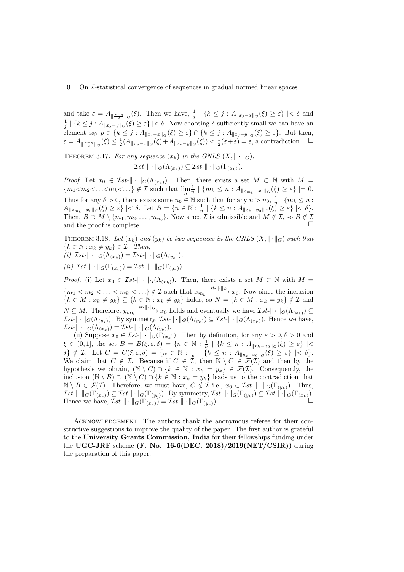and take  $\varepsilon = A_{\|\frac{x-y}{2}\|G}(\xi)$ . Then we have,  $\frac{1}{j} | \{k \leq j : A_{\|x_j-x\|G}(\xi) \geq \varepsilon\}| < \delta$  and  $\frac{1}{j} | \{k \leq j : A_{\|x_j - y\|_G}(\xi) \geq \varepsilon\}| < \delta$ . Now choosing  $\delta$  sufficiently small we can have an element say  $p \in \{k \leq j : A_{\|x_j - x\|_G}(\xi) \geq \varepsilon\} \cap \{k \leq j : A_{\|x_j - y\|_G}(\xi) \geq \varepsilon\}$ . But then,  $\varepsilon = A_{\|\frac{x-y}{2}\|G}(\xi) \leq \frac{1}{2}(A_{\|x_p-x\|G}(\xi)+A_{\|x_p-y\|G}(\xi)) < \frac{1}{2}(\varepsilon+\varepsilon) = \varepsilon$ , a contradiction.  $\square$ 

THEOREM 3.17. For any sequence  $(x_k)$  in the GNLS  $(X, \|\cdot\|_G)$ ,

$$
\mathcal{I}st-\|\cdot\|_{G}(\Lambda_{(x_k)})\subseteq \mathcal{I}st-\|\cdot\|_{G}(\Gamma_{(x_k)}).
$$

*Proof.* Let  $x_0 \in \mathcal{I}st-\|\cdot\|_{G}(\Lambda_{(x_k)})$ . Then, there exists a set  $M \subset \mathbb{N}$  with  $M =$  ${m_1 < m_2 < \ldots < m_k < \ldots} \notin \mathcal{I}$  such that  $\lim_{n} \frac{1}{n} | {m_k \leq n : A_{\|x_{m_k} - x_0\|_G}(\xi) \geq \varepsilon} | = 0.$ Thus for any  $\delta > 0$ , there exists some  $n_0 \in \mathbb{N}$  such that for any  $n > n_0, \frac{1}{n} \mid \{m_k \leq n :$  $A_{\|x_{m_k} - x_0\|_G}(\xi) \geq \varepsilon$  |  $\lt \delta$ . Let  $B = \{n \in \mathbb{N} : \frac{1}{n} \mid \{k \leq n : A_{\|x_k - x_0\|_G}(\xi) \geq \varepsilon\} \mid < \delta\}$ . Then,  $B \supset M \setminus \{m_1, m_2, \ldots, m_{n_0}\}.$  Now since  $\mathcal I$  is admissible and  $M \notin \mathcal I$ , so  $B \notin \mathcal I$ and the proof is complete.  $\Box$ 

THEOREM 3.18. Let  $(x_k)$  and  $(y_k)$  be two sequences in the GNLS  $(X, \|\cdot\|_G)$  such that  ${k \in \mathbb{N} : x_k \neq y_k} \in \mathcal{I}$ . Then,

<span id="page-9-0"></span>(i) 
$$
\mathcal{I}st-\|\cdot\|_{G}(\Lambda_{(x_k)})=\mathcal{I}st-\|\cdot\|_{G}(\Lambda_{(y_k)}).
$$

<span id="page-9-1"></span>(ii)  $\mathcal{I}st-\|\cdot\|_{G}(\Gamma_{(x_k)})=\mathcal{I}st-\|\cdot\|_{G}(\Gamma_{(y_k)}).$ 

*Proof.* [\(i\)](#page-9-0) Let  $x_0 \in \mathcal{I}st$ - $\|\cdot\|_{G}(\Lambda_{(x_k)})$ . Then, there exists a set  $M \subset \mathbb{N}$  with  $M =$  ${m_1 < m_2 < \ldots < m_k < \ldots}$   $\notin \mathcal{I}$  such that  $x_{m_k} \xrightarrow{st-||\cdot||_G} x_0$ . Now since the inclusion  ${k \in M : x_k \neq y_k} \subseteq {k \in \mathbb{N} : x_k \neq y_k}$  holds, so  $N = {k \in M : x_k = y_k} \notin \mathcal{I}$  and  $N \subseteq M$ . Therefore,  $y_{m_k} \xrightarrow{st-\|\cdot\|_{G}} x_0$  holds and eventually we have  $\mathcal{I}st-\|\cdot\|_{G}(\Lambda_{(x_k)}) \subseteq$  $\mathcal{I}st-\|\cdot\|_{G}(\Lambda_{(y_k)})$ . By symmetry,  $\mathcal{I}st-\|\cdot\|_{G}(\Lambda_{(y_k)})\subseteq \mathcal{I}st-\|\cdot\|_{G}(\Lambda_{(x_k)})$ . Hence we have,  $\mathcal{I}st-\|\cdot\|_{G}(\widetilde{\Lambda_{(x_k)}})=\mathcal{I}st-\|\cdot\|_{G}(\Lambda_{(y_k)}).$ 

[\(ii\)](#page-9-1) Suppose  $x_0 \in \mathcal{I}_{st-} || \cdot ||_G(\Gamma_{(x_k)})$ . Then by definition, for any  $\varepsilon > 0, \delta > 0$  and  $\xi \in (0,1],$  the set  $B = B(\xi, \varepsilon, \delta) = \{n \in \mathbb{N} : \frac{1}{n} \mid \{k \leq n : A_{\|x_k - x_0\|_G}(\xi) \geq \varepsilon\} \mid \leq$  $\delta$   $\xi \notin \mathcal{I}$ . Let  $C = C(\xi, \varepsilon, \delta) = \{n \in \mathbb{N} : \frac{1}{n} \mid \{k \leq n : A_{\|y_k - x_0\|G}(\xi) \geq \varepsilon\} \mid < \delta\}.$ We claim that  $C \notin \mathcal{I}$ . Because if  $C \in \mathcal{I}$ , then  $\mathbb{N} \setminus C \in \mathcal{I}(\mathcal{I})$  and then by the hypothesis we obtain,  $(N \setminus C) \cap \{k \in \mathbb{N} : x_k = y_k\} \in \mathcal{F}(\mathcal{I})$ . Consequently, the inclusion  $(\mathbb{N} \setminus B) \supset (\mathbb{N} \setminus C) \cap \{k \in \mathbb{N} : x_k = y_k\}$  leads us to the contradiction that  $\mathbb{N} \setminus B \in \mathcal{F}(\mathcal{I})$ . Therefore, we must have,  $C \notin \mathcal{I}$  i.e.,  $x_0 \in \mathcal{I}st$ - $\|\cdot\|_{G}(\Gamma_{(y_k)})$ . Thus,  $\mathcal{I}st-\|\cdot\|_{G}(\Gamma_{(x_k)})\subseteq \mathcal{I}st-\|\cdot\|_{G}(\Gamma_{(y_k)})$ . By symmetry,  $\mathcal{I}st-\|\cdot\|_{G}(\Gamma_{(y_k)})\subseteq \mathcal{I}st-\|\cdot\|_{G}(\Gamma_{(x_k)}).$ Hence we have,  $\overline{Ist}$ - $\|\cdot\|_{G}(\Gamma_{(x_k)}) = \overline{Ist}$ - $\|\cdot\|_{G}(\Gamma_{(y_k)})$ .  $\Box$ 

Acknowledgement. The authors thank the anonymous referee for their constructive suggestions to improve the quality of the paper. The first author is grateful to the University Grants Commission, India for their fellowships funding under the UGC-JRF scheme  $(F. No. 16-6(DEC. 2018)/2019(NET/CSIR))$  during the preparation of this paper.